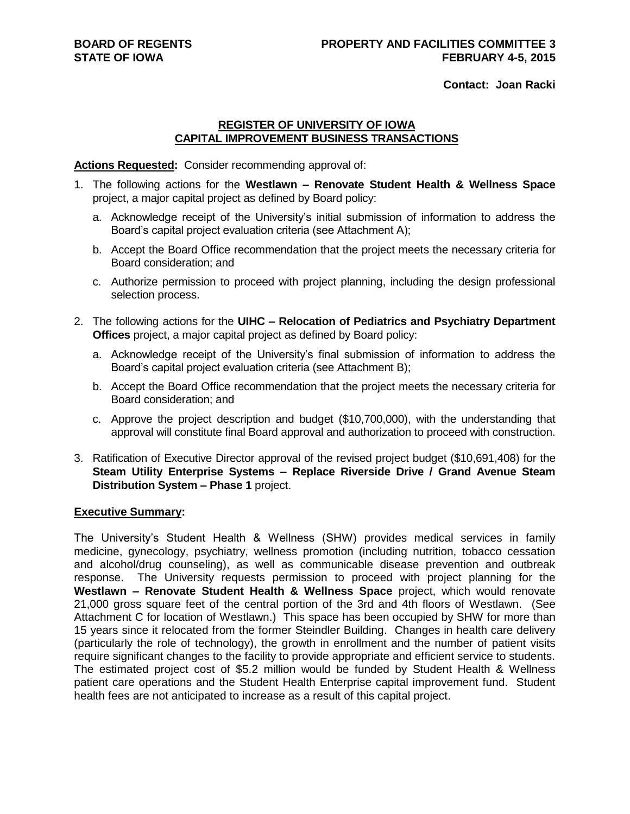**Contact: Joan Racki**

## **REGISTER OF UNIVERSITY OF IOWA CAPITAL IMPROVEMENT BUSINESS TRANSACTIONS**

### **Actions Requested:** Consider recommending approval of:

- 1. The following actions for the **Westlawn – Renovate Student Health & Wellness Space** project, a major capital project as defined by Board policy:
	- a. Acknowledge receipt of the University's initial submission of information to address the Board's capital project evaluation criteria (see Attachment A);
	- b. Accept the Board Office recommendation that the project meets the necessary criteria for Board consideration; and
	- c. Authorize permission to proceed with project planning, including the design professional selection process.
- 2. The following actions for the **UIHC – Relocation of Pediatrics and Psychiatry Department Offices** project, a major capital project as defined by Board policy:
	- a. Acknowledge receipt of the University's final submission of information to address the Board's capital project evaluation criteria (see Attachment B);
	- b. Accept the Board Office recommendation that the project meets the necessary criteria for Board consideration; and
	- c. Approve the project description and budget (\$10,700,000), with the understanding that approval will constitute final Board approval and authorization to proceed with construction.
- 3. Ratification of Executive Director approval of the revised project budget (\$10,691,408) for the **Steam Utility Enterprise Systems – Replace Riverside Drive / Grand Avenue Steam Distribution System – Phase 1** project.

### **Executive Summary:**

The University's Student Health & Wellness (SHW) provides medical services in family medicine, gynecology, psychiatry, wellness promotion (including nutrition, tobacco cessation and alcohol/drug counseling), as well as communicable disease prevention and outbreak response. The University requests permission to proceed with project planning for the **Westlawn – Renovate Student Health & Wellness Space** project, which would renovate 21,000 gross square feet of the central portion of the 3rd and 4th floors of Westlawn. (See Attachment C for location of Westlawn.) This space has been occupied by SHW for more than 15 years since it relocated from the former Steindler Building. Changes in health care delivery (particularly the role of technology), the growth in enrollment and the number of patient visits require significant changes to the facility to provide appropriate and efficient service to students. The estimated project cost of \$5.2 million would be funded by Student Health & Wellness patient care operations and the Student Health Enterprise capital improvement fund. Student health fees are not anticipated to increase as a result of this capital project.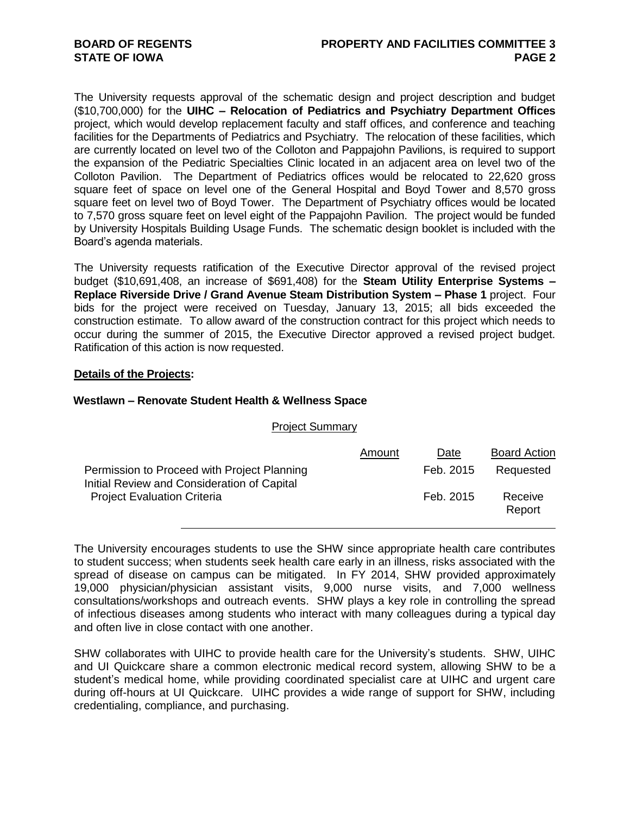The University requests approval of the schematic design and project description and budget (\$10,700,000) for the **UIHC – Relocation of Pediatrics and Psychiatry Department Offices** project, which would develop replacement faculty and staff offices, and conference and teaching facilities for the Departments of Pediatrics and Psychiatry. The relocation of these facilities, which are currently located on level two of the Colloton and Pappajohn Pavilions, is required to support the expansion of the Pediatric Specialties Clinic located in an adjacent area on level two of the Colloton Pavilion. The Department of Pediatrics offices would be relocated to 22,620 gross square feet of space on level one of the General Hospital and Boyd Tower and 8,570 gross square feet on level two of Boyd Tower. The Department of Psychiatry offices would be located to 7,570 gross square feet on level eight of the Pappajohn Pavilion. The project would be funded by University Hospitals Building Usage Funds. The schematic design booklet is included with the Board's agenda materials.

The University requests ratification of the Executive Director approval of the revised project budget (\$10,691,408, an increase of \$691,408) for the **Steam Utility Enterprise Systems – Replace Riverside Drive / Grand Avenue Steam Distribution System – Phase 1** project. Four bids for the project were received on Tuesday, January 13, 2015; all bids exceeded the construction estimate. To allow award of the construction contract for this project which needs to occur during the summer of 2015, the Executive Director approved a revised project budget. Ratification of this action is now requested.

### **Details of the Projects:**

#### **Westlawn – Renovate Student Health & Wellness Space**

| <b>Project Summary</b> |
|------------------------|
|------------------------|

|                                                                                                                                  | Amount | Date      | <b>Board Action</b> |
|----------------------------------------------------------------------------------------------------------------------------------|--------|-----------|---------------------|
| Permission to Proceed with Project Planning<br>Initial Review and Consideration of Capital<br><b>Project Evaluation Criteria</b> |        | Feb. 2015 | Requested           |
|                                                                                                                                  |        | Feb. 2015 | Receive<br>Report   |

The University encourages students to use the SHW since appropriate health care contributes to student success; when students seek health care early in an illness, risks associated with the spread of disease on campus can be mitigated. In FY 2014, SHW provided approximately 19,000 physician/physician assistant visits, 9,000 nurse visits, and 7,000 wellness consultations/workshops and outreach events. SHW plays a key role in controlling the spread of infectious diseases among students who interact with many colleagues during a typical day and often live in close contact with one another.

SHW collaborates with UIHC to provide health care for the University's students. SHW, UIHC and UI Quickcare share a common electronic medical record system, allowing SHW to be a student's medical home, while providing coordinated specialist care at UIHC and urgent care during off-hours at UI Quickcare. UIHC provides a wide range of support for SHW, including credentialing, compliance, and purchasing.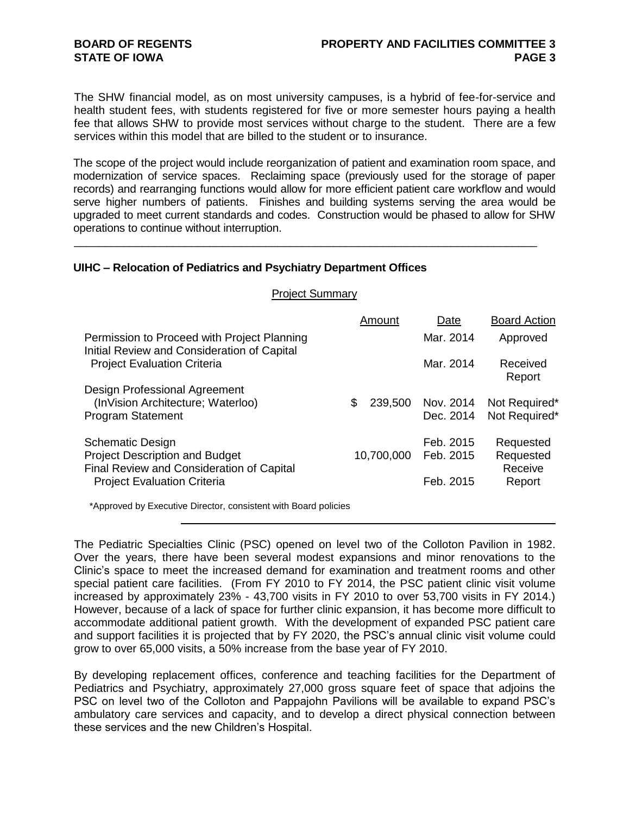The SHW financial model, as on most university campuses, is a hybrid of fee-for-service and health student fees, with students registered for five or more semester hours paying a health fee that allows SHW to provide most services without charge to the student. There are a few services within this model that are billed to the student or to insurance.

The scope of the project would include reorganization of patient and examination room space, and modernization of service spaces. Reclaiming space (previously used for the storage of paper records) and rearranging functions would allow for more efficient patient care workflow and would serve higher numbers of patients. Finishes and building systems serving the area would be upgraded to meet current standards and codes. Construction would be phased to allow for SHW operations to continue without interruption.

\_\_\_\_\_\_\_\_\_\_\_\_\_\_\_\_\_\_\_\_\_\_\_\_\_\_\_\_\_\_\_\_\_\_\_\_\_\_\_\_\_\_\_\_\_\_\_\_\_\_\_\_\_\_\_\_\_\_\_\_\_\_\_\_\_\_\_\_\_\_\_\_\_\_\_

# **UIHC – Relocation of Pediatrics and Psychiatry Department Offices**

| <b>Project Summary</b>                                                                                                                              |            |                                     |                                   |
|-----------------------------------------------------------------------------------------------------------------------------------------------------|------------|-------------------------------------|-----------------------------------|
|                                                                                                                                                     | Amount     | Date                                | <b>Board Action</b>               |
| Permission to Proceed with Project Planning<br>Initial Review and Consideration of Capital                                                          |            | Mar. 2014                           | Approved                          |
| <b>Project Evaluation Criteria</b>                                                                                                                  |            | Mar. 2014                           | Received<br>Report                |
| Design Professional Agreement<br>(InVision Architecture; Waterloo)<br>\$<br>Program Statement                                                       | 239,500    | Nov. 2014<br>Dec. 2014              | Not Required*<br>Not Required*    |
| Schematic Design<br><b>Project Description and Budget</b><br><b>Final Review and Consideration of Capital</b><br><b>Project Evaluation Criteria</b> | 10,700,000 | Feb. 2015<br>Feb. 2015<br>Feb. 2015 | Requested<br>Requested<br>Receive |
|                                                                                                                                                     |            |                                     | Report                            |

\*Approved by Executive Director, consistent with Board policies

The Pediatric Specialties Clinic (PSC) opened on level two of the Colloton Pavilion in 1982. Over the years, there have been several modest expansions and minor renovations to the Clinic's space to meet the increased demand for examination and treatment rooms and other special patient care facilities. (From FY 2010 to FY 2014, the PSC patient clinic visit volume increased by approximately 23% - 43,700 visits in FY 2010 to over 53,700 visits in FY 2014.) However, because of a lack of space for further clinic expansion, it has become more difficult to accommodate additional patient growth. With the development of expanded PSC patient care and support facilities it is projected that by FY 2020, the PSC's annual clinic visit volume could grow to over 65,000 visits, a 50% increase from the base year of FY 2010.

By developing replacement offices, conference and teaching facilities for the Department of Pediatrics and Psychiatry, approximately 27,000 gross square feet of space that adjoins the PSC on level two of the Colloton and Pappajohn Pavilions will be available to expand PSC's ambulatory care services and capacity, and to develop a direct physical connection between these services and the new Children's Hospital.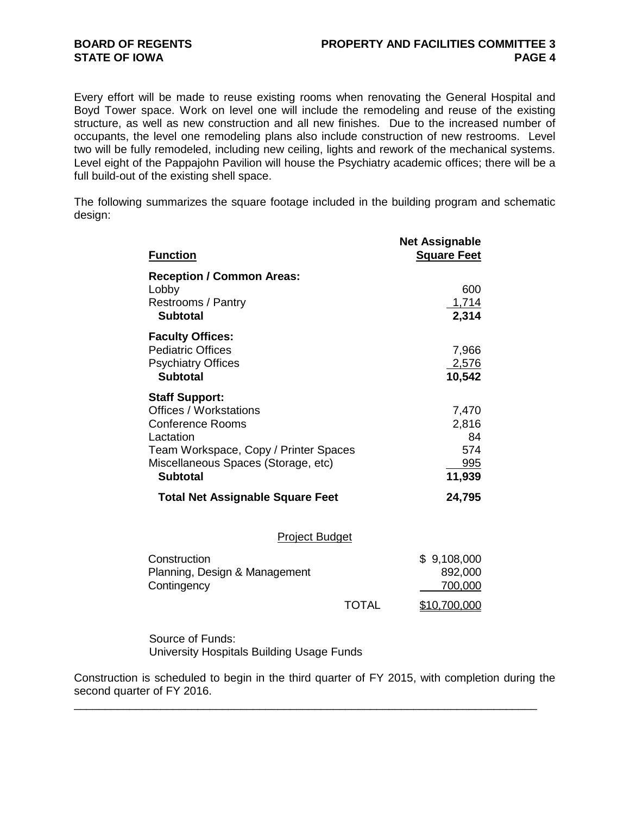Every effort will be made to reuse existing rooms when renovating the General Hospital and Boyd Tower space. Work on level one will include the remodeling and reuse of the existing structure, as well as new construction and all new finishes. Due to the increased number of occupants, the level one remodeling plans also include construction of new restrooms. Level two will be fully remodeled, including new ceiling, lights and rework of the mechanical systems. Level eight of the Pappajohn Pavilion will house the Psychiatry academic offices; there will be a full build-out of the existing shell space.

The following summarizes the square footage included in the building program and schematic design:

| <b>Function</b>                                                                                                                                                                            | <b>Net Assignable</b><br><b>Square Feet</b>  |
|--------------------------------------------------------------------------------------------------------------------------------------------------------------------------------------------|----------------------------------------------|
| <b>Reception / Common Areas:</b><br>Lobby<br>Restrooms / Pantry<br><b>Subtotal</b>                                                                                                         | 600<br>1,714<br>2,314                        |
| <b>Faculty Offices:</b><br><b>Pediatric Offices</b><br><b>Psychiatry Offices</b><br><b>Subtotal</b>                                                                                        | 7,966<br>2,576<br>10,542                     |
| <b>Staff Support:</b><br>Offices / Workstations<br><b>Conference Rooms</b><br>Lactation<br>Team Workspace, Copy / Printer Spaces<br>Miscellaneous Spaces (Storage, etc)<br><b>Subtotal</b> | 7,470<br>2,816<br>84<br>574<br>995<br>11,939 |
| <b>Total Net Assignable Square Feet</b>                                                                                                                                                    | 24,795                                       |
| <b>Project Budget</b>                                                                                                                                                                      |                                              |
| Construction<br>Planning, Design & Management<br>Contingency                                                                                                                               | \$9,108,000<br>892,000<br><u>700,000</u>     |

Source of Funds: University Hospitals Building Usage Funds

Construction is scheduled to begin in the third quarter of FY 2015, with completion during the second quarter of FY 2016.

\_\_\_\_\_\_\_\_\_\_\_\_\_\_\_\_\_\_\_\_\_\_\_\_\_\_\_\_\_\_\_\_\_\_\_\_\_\_\_\_\_\_\_\_\_\_\_\_\_\_\_\_\_\_\_\_\_\_\_\_\_\_\_\_\_\_\_\_\_\_\_\_\_\_\_

TOTAL \$10,700,000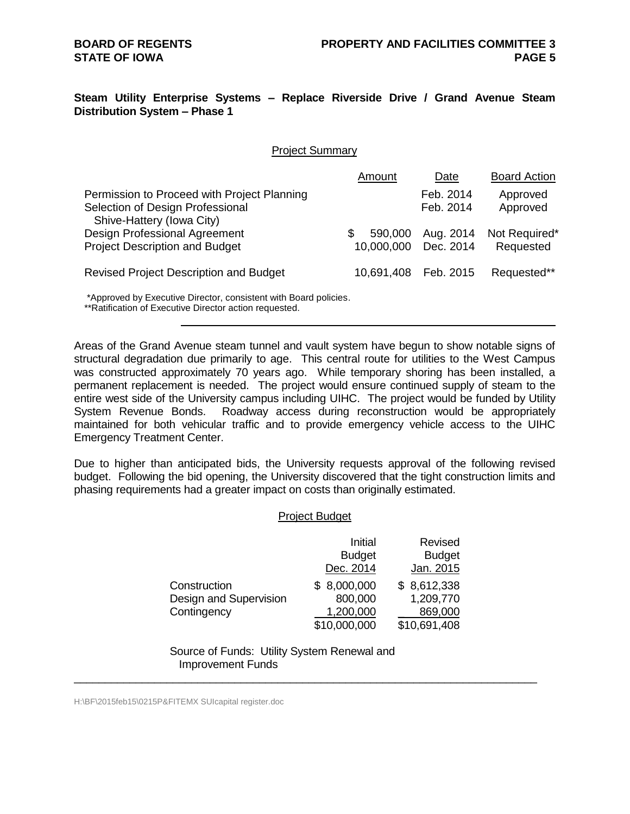# **Steam Utility Enterprise Systems – Replace Riverside Drive / Grand Avenue Steam Distribution System – Phase 1**

#### Project Summary

|                                                                                                              | Amount                       | Date                   | <b>Board Action</b>        |
|--------------------------------------------------------------------------------------------------------------|------------------------------|------------------------|----------------------------|
| Permission to Proceed with Project Planning<br>Selection of Design Professional<br>Shive-Hattery (Iowa City) |                              | Feb. 2014<br>Feb. 2014 | Approved<br>Approved       |
| Design Professional Agreement<br><b>Project Description and Budget</b>                                       | 590,000<br>\$.<br>10,000,000 | Aug. 2014<br>Dec. 2014 | Not Required*<br>Requested |
| <b>Revised Project Description and Budget</b>                                                                | 10,691,408                   | Feb. 2015              | Requested**                |

\*Approved by Executive Director, consistent with Board policies.

\*\*Ratification of Executive Director action requested.

Areas of the Grand Avenue steam tunnel and vault system have begun to show notable signs of structural degradation due primarily to age. This central route for utilities to the West Campus was constructed approximately 70 years ago. While temporary shoring has been installed, a permanent replacement is needed. The project would ensure continued supply of steam to the entire west side of the University campus including UIHC. The project would be funded by Utility System Revenue Bonds. Roadway access during reconstruction would be appropriately maintained for both vehicular traffic and to provide emergency vehicle access to the UIHC Emergency Treatment Center.

Due to higher than anticipated bids, the University requests approval of the following revised budget. Following the bid opening, the University discovered that the tight construction limits and phasing requirements had a greater impact on costs than originally estimated.

#### Project Budget

|                        | Initial       | Revised       |
|------------------------|---------------|---------------|
|                        |               |               |
|                        | <b>Budget</b> | <b>Budget</b> |
|                        | Dec. 2014     | Jan. 2015     |
| Construction           | \$8,000,000   | \$8,612,338   |
| Design and Supervision | 800,000       | 1,209,770     |
| Contingency            | 1,200,000     | 869,000       |
|                        | \$10,000,000  | \$10,691,408  |

Source of Funds: Utility System Renewal and Improvement Funds

\_\_\_\_\_\_\_\_\_\_\_\_\_\_\_\_\_\_\_\_\_\_\_\_\_\_\_\_\_\_\_\_\_\_\_\_\_\_\_\_\_\_\_\_\_\_\_\_\_\_\_\_\_\_\_\_\_\_\_\_\_\_\_\_\_\_\_\_\_\_\_\_\_\_\_

H:\BF\2015feb15\0215P&FITEMX SUIcapital register.doc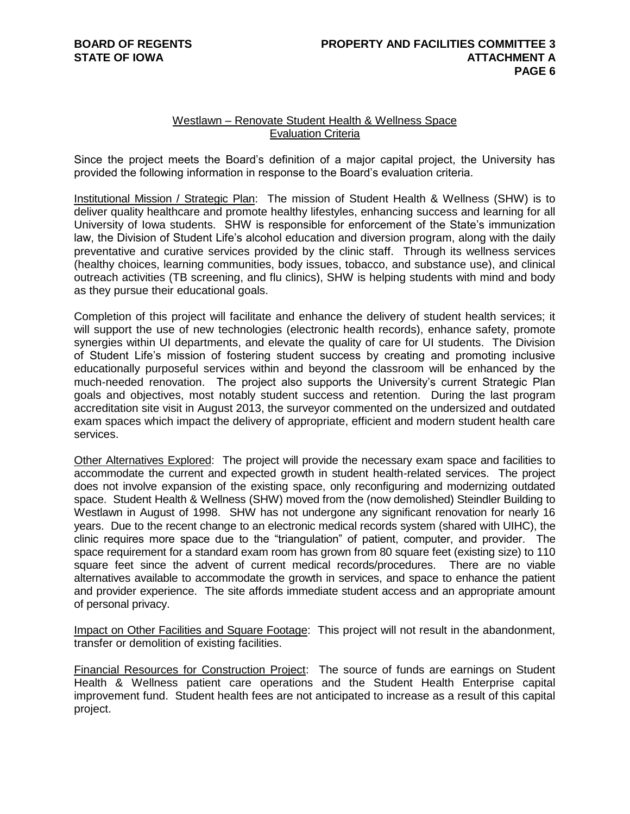## Westlawn – Renovate Student Health & Wellness Space Evaluation Criteria

Since the project meets the Board's definition of a major capital project, the University has provided the following information in response to the Board's evaluation criteria.

Institutional Mission / Strategic Plan: The mission of Student Health & Wellness (SHW) is to deliver quality healthcare and promote healthy lifestyles, enhancing success and learning for all University of Iowa students. SHW is responsible for enforcement of the State's immunization law, the Division of Student Life's alcohol education and diversion program, along with the daily preventative and curative services provided by the clinic staff. Through its wellness services (healthy choices, learning communities, body issues, tobacco, and substance use), and clinical outreach activities (TB screening, and flu clinics), SHW is helping students with mind and body as they pursue their educational goals.

Completion of this project will facilitate and enhance the delivery of student health services; it will support the use of new technologies (electronic health records), enhance safety, promote synergies within UI departments, and elevate the quality of care for UI students. The Division of Student Life's mission of fostering student success by creating and promoting inclusive educationally purposeful services within and beyond the classroom will be enhanced by the much-needed renovation. The project also supports the University's current Strategic Plan goals and objectives, most notably student success and retention. During the last program accreditation site visit in August 2013, the surveyor commented on the undersized and outdated exam spaces which impact the delivery of appropriate, efficient and modern student health care services.

Other Alternatives Explored: The project will provide the necessary exam space and facilities to accommodate the current and expected growth in student health-related services. The project does not involve expansion of the existing space, only reconfiguring and modernizing outdated space. Student Health & Wellness (SHW) moved from the (now demolished) Steindler Building to Westlawn in August of 1998. SHW has not undergone any significant renovation for nearly 16 years. Due to the recent change to an electronic medical records system (shared with UIHC), the clinic requires more space due to the "triangulation" of patient, computer, and provider. The space requirement for a standard exam room has grown from 80 square feet (existing size) to 110 square feet since the advent of current medical records/procedures. There are no viable alternatives available to accommodate the growth in services, and space to enhance the patient and provider experience. The site affords immediate student access and an appropriate amount of personal privacy.

Impact on Other Facilities and Square Footage: This project will not result in the abandonment, transfer or demolition of existing facilities.

Financial Resources for Construction Project: The source of funds are earnings on Student Health & Wellness patient care operations and the Student Health Enterprise capital improvement fund. Student health fees are not anticipated to increase as a result of this capital project.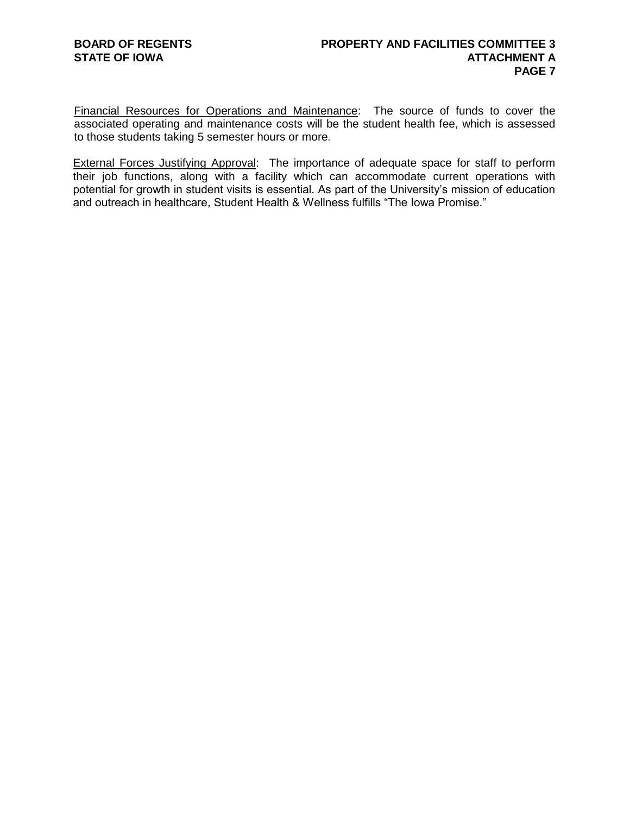Financial Resources for Operations and Maintenance: The source of funds to cover the associated operating and maintenance costs will be the student health fee, which is assessed to those students taking 5 semester hours or more*.*

External Forces Justifying Approval: The importance of adequate space for staff to perform their job functions, along with a facility which can accommodate current operations with potential for growth in student visits is essential. As part of the University's mission of education and outreach in healthcare, Student Health & Wellness fulfills "The Iowa Promise."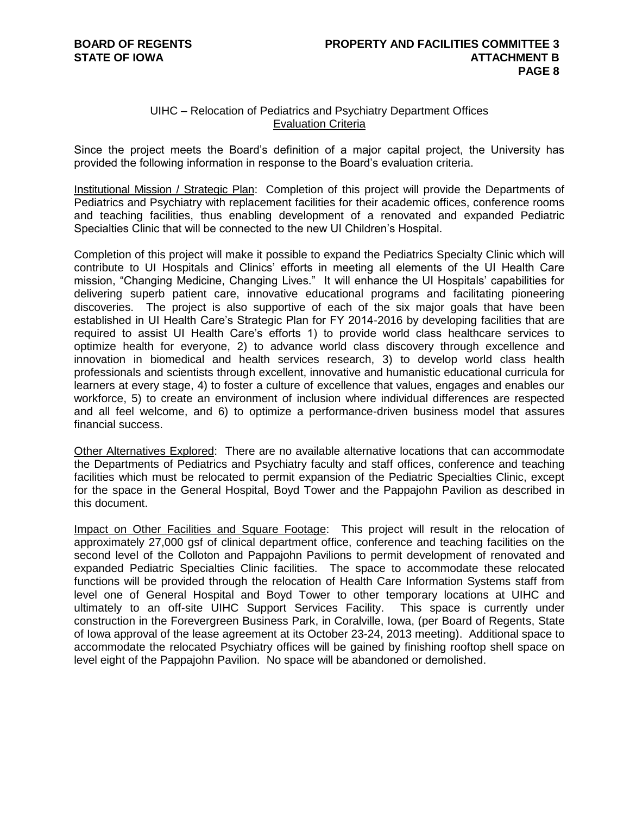# UIHC – Relocation of Pediatrics and Psychiatry Department Offices Evaluation Criteria

Since the project meets the Board's definition of a major capital project, the University has provided the following information in response to the Board's evaluation criteria.

Institutional Mission / Strategic Plan: Completion of this project will provide the Departments of Pediatrics and Psychiatry with replacement facilities for their academic offices, conference rooms and teaching facilities, thus enabling development of a renovated and expanded Pediatric Specialties Clinic that will be connected to the new UI Children's Hospital.

Completion of this project will make it possible to expand the Pediatrics Specialty Clinic which will contribute to UI Hospitals and Clinics' efforts in meeting all elements of the UI Health Care mission, "Changing Medicine, Changing Lives." It will enhance the UI Hospitals' capabilities for delivering superb patient care, innovative educational programs and facilitating pioneering discoveries. The project is also supportive of each of the six major goals that have been established in UI Health Care's Strategic Plan for FY 2014-2016 by developing facilities that are required to assist UI Health Care's efforts 1) to provide world class healthcare services to optimize health for everyone, 2) to advance world class discovery through excellence and innovation in biomedical and health services research, 3) to develop world class health professionals and scientists through excellent, innovative and humanistic educational curricula for learners at every stage, 4) to foster a culture of excellence that values, engages and enables our workforce, 5) to create an environment of inclusion where individual differences are respected and all feel welcome, and 6) to optimize a performance-driven business model that assures financial success.

Other Alternatives Explored: There are no available alternative locations that can accommodate the Departments of Pediatrics and Psychiatry faculty and staff offices, conference and teaching facilities which must be relocated to permit expansion of the Pediatric Specialties Clinic, except for the space in the General Hospital, Boyd Tower and the Pappajohn Pavilion as described in this document.

Impact on Other Facilities and Square Footage: This project will result in the relocation of approximately 27,000 gsf of clinical department office, conference and teaching facilities on the second level of the Colloton and Pappajohn Pavilions to permit development of renovated and expanded Pediatric Specialties Clinic facilities. The space to accommodate these relocated functions will be provided through the relocation of Health Care Information Systems staff from level one of General Hospital and Boyd Tower to other temporary locations at UIHC and ultimately to an off-site UIHC Support Services Facility. This space is currently under construction in the Forevergreen Business Park, in Coralville, Iowa, (per Board of Regents, State of Iowa approval of the lease agreement at its October 23-24, 2013 meeting). Additional space to accommodate the relocated Psychiatry offices will be gained by finishing rooftop shell space on level eight of the Pappajohn Pavilion. No space will be abandoned or demolished.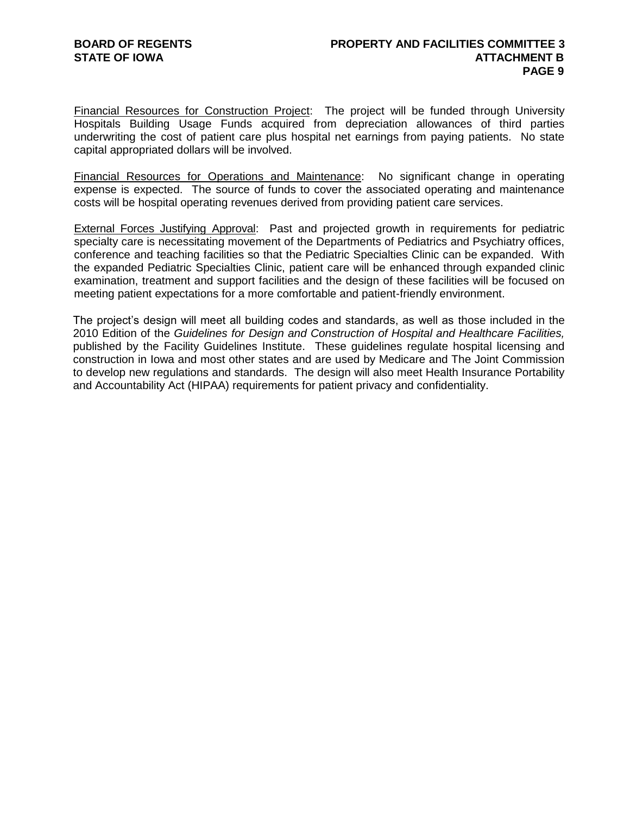Financial Resources for Construction Project: The project will be funded through University Hospitals Building Usage Funds acquired from depreciation allowances of third parties underwriting the cost of patient care plus hospital net earnings from paying patients. No state capital appropriated dollars will be involved.

Financial Resources for Operations and Maintenance: No significant change in operating expense is expected. The source of funds to cover the associated operating and maintenance costs will be hospital operating revenues derived from providing patient care services.

External Forces Justifying Approval: Past and projected growth in requirements for pediatric specialty care is necessitating movement of the Departments of Pediatrics and Psychiatry offices, conference and teaching facilities so that the Pediatric Specialties Clinic can be expanded. With the expanded Pediatric Specialties Clinic, patient care will be enhanced through expanded clinic examination, treatment and support facilities and the design of these facilities will be focused on meeting patient expectations for a more comfortable and patient-friendly environment.

The project's design will meet all building codes and standards, as well as those included in the 2010 Edition of the *Guidelines for Design and Construction of Hospital and Healthcare Facilities,* published by the Facility Guidelines Institute. These guidelines regulate hospital licensing and construction in Iowa and most other states and are used by Medicare and The Joint Commission to develop new regulations and standards. The design will also meet Health Insurance Portability and Accountability Act (HIPAA) requirements for patient privacy and confidentiality.